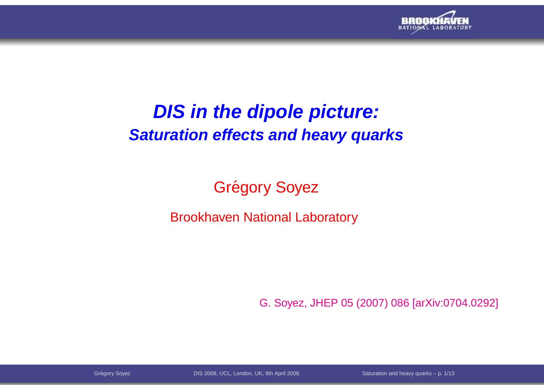

### **DIS in the dipole picture:Saturation effects and heavy quarks**

Grégory Soyez

Brookhaven National Laboratory

G. Soyez, JHEP 05 (2007) 086 [arXiv:0704.0292]

Gregory Soyez DIS 2008, UCL, London, UK, 9th April 2008 Saturat ´ ion and heavy quarks – p. 1/13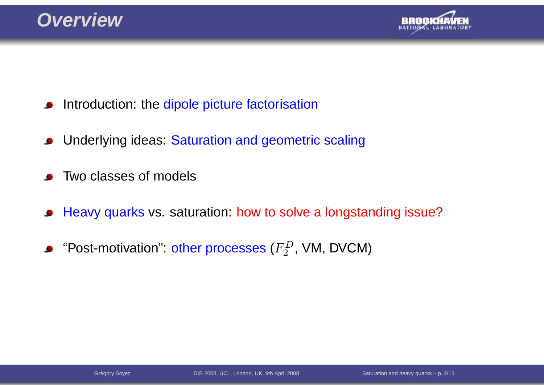

- Introduction: the <mark>dipole picture factorisatio</mark>n  $\bullet$
- Underlying ideas: Saturation and geometric scaling $\bullet$
- Two classes of models
- Heavy quarks vs. saturation: how to solve <sup>a</sup> longstanding issue? $\bullet$
- "Post-motivation": other processes ( $F_2^D$ , VM, DVCM)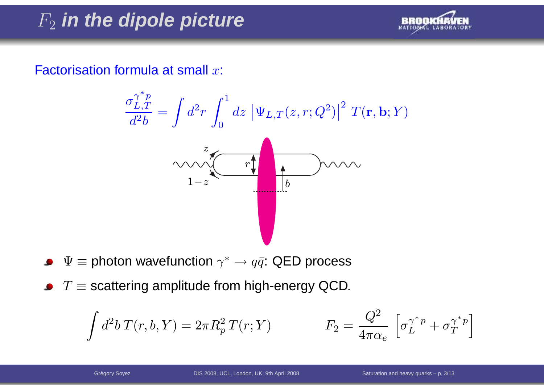# F2 **in the dipole picture**



Factorisation formula at small  $x$ :



- $\Psi \equiv$  photon wavefunction  $\gamma^* \rightarrow q \bar{q}$ : QED process
- $T\equiv$  scattering amplitude from high-energy QCD.

$$
\int d^2b \, T(r, b, Y) = 2\pi R_p^2 \, T(r; Y) \qquad \qquad F_2 = \frac{Q^2}{4\pi \alpha_e} \left[ \sigma_L^{\gamma^* p} + \sigma_T^{\gamma^* p} \right]
$$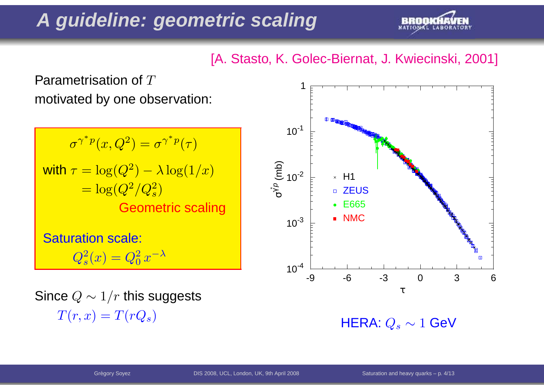## **A guideline: geometric scaling**



#### [A. Stasto, K. Golec-Biernat, J. Kwiecinski, 2001]

Parametrisation of  $T$ motivated by one observation:

 $\sigma^\gamma$ ∗ $\degree^*{}^p(x,Q^2) = \sigma^{\gamma}$ ∗ $\sqrt[r-p]{(\tau)}$ with  $\tau = \log(Q^2$  $\hskip 1pc = \log (Q^2/Q_s^2)$  $^{\mathbf{2}})$  $-\lambda \log(1/x)$  Geometric scaling $\left( \frac{2}{s}\right)$ Saturation scale:  $Q_s^2$  $_s^2(x)=Q_0^2$  $_0^2\,x^{-\lambda}$ 

Since  $Q\sim1/r$  this suggests  $T(r,x)=T(rQ_s)$ 



 $\mathsf{HERA}\!\!:Q_s\sim 1$   $\mathsf{GeV}$ .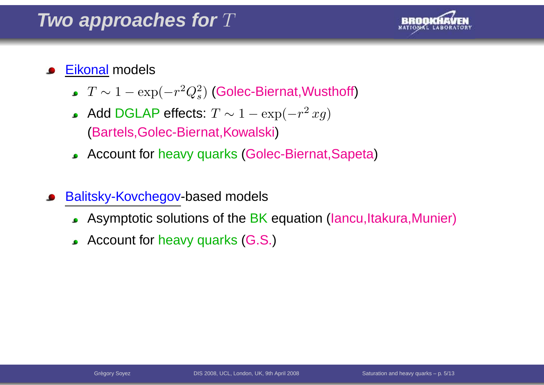### Two approaches for  $T$



#### <u>Eikonal</u> models

- $T\sim1 -\exp($  $-r^2$  $^2Q_s^2$  $\mathbf{s}^{2}$ ) (Golec-Biernat,Wusthoff)
- Add DGLAP effects:  $T \sim 1 -$  (Bartels,Golec-Biernat,Kowalski) $-\exp($  $-r^2$  $^{2}\,xg)$
- Account for heavy quarks(Golec-Biernat,Sapeta)
- Balitsky-Kovchegov-based models
	- Asymptotic solutions of the BK equation (Iancu,Itakura,Munier)
	- Account for heavy quarks (G.S.)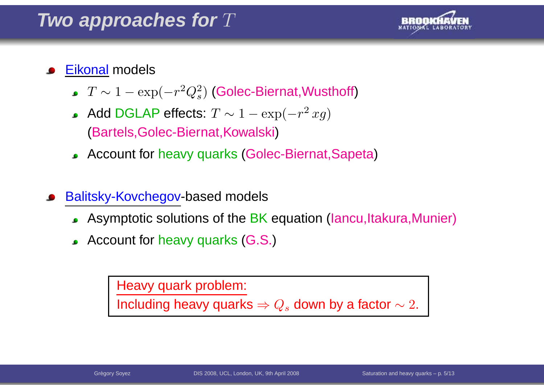### Two approaches for  $T$



#### <u>Eikonal</u> models

- $T\sim1 -\exp($  $-r^2$  $^2Q_s^2$  $\mathbf{s}^{2}$ ) (Golec-Biernat,Wusthoff)
- Add DGLAP effects:  $T \sim 1 -$  (Bartels,Golec-Biernat,Kowalski) $-\exp($  $-r^2$  $^{2}\,xg)$
- Account for heavy quarks(Golec-Biernat,Sapeta)
- Balitsky-Kovchegov-based models
	- Asymptotic solutions of the BK equation (Iancu,Itakura,Munier)
	- Account for heavy quarks (G.S.)

Heavy quark problem:

Including heavy quarks  $\Rightarrow Q_s$  down by a factor  $\sim 2.$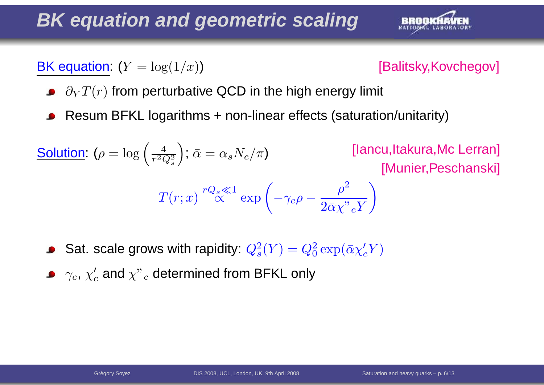## **BK equation and geometric scaling**

**BK** equation:  $(Y = log(1/x))$ 



- $\partial_Y T(r)$  from perturbative QCD in the high energy limit
- Resum BFKL logarithms <sup>+</sup> non-linear effects (saturation/unitarity)

**Solution:** 
$$
(\rho = \log\left(\frac{4}{r^2 Q_s^2}\right); \bar{\alpha} = \alpha_s N_c/\pi)
$$
 [lancu,ltakura,Mc Lerran]  
\n $T(r; x) \stackrel{rQ_s \ll 1}{\propto} \exp\left(-\gamma_c \rho - \frac{\rho^2}{2\bar{\alpha}\chi^2 r} \right)$ 

- Sat. scale grows with rapidity:  $Q_s^2$  $s<sup>2</sup>(Y) = Q<sub>0</sub><sup>2</sup>$  $\frac{2}{0} \exp(\bar{\alpha} \chi_c' Y)$
- $\gamma_c,\,\chi'_c$  and  $\chi"$  $\overline{c}$  determined from BFKL only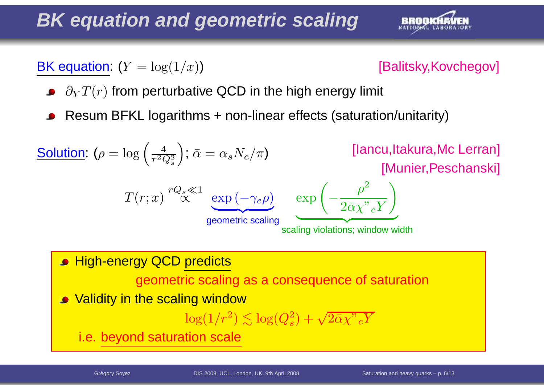## **BK equation and geometric scaling**

**BK** equation:  $(Y = log(1/x))$ 



- $\partial_Y T(r)$  from perturbative QCD in the high energy limit
- Resum BFKL logarithms <sup>+</sup> non-linear effects (saturation/unitarity)

| Solution: $(\rho = \log\left(\frac{4}{r^2 Q_s^2}\right); \bar{\alpha} = \alpha_s N_c/\pi)$ | [lancu,ltakura,Mc Lerran]         |                                                           |
|--------------------------------------------------------------------------------------------|-----------------------------------|-----------------------------------------------------------|
| $T(r; x) \stackrel{rQ_s \ll 1}{\propto}$                                                   | $\exp\left(-\gamma_c \rho\right)$ | $\exp\left(-\frac{\rho^2}{2\bar{\alpha}\chi^2 cY}\right)$ |
| <b>High-energy QCD predicts</b>                                                            | scaling violations; window width  |                                                           |

\n**High-energy QCD predicts**

\n**geometric scaling as a consequence of saturation**

**• Validity in the scaling window** 

$$
\log(1/r^2) \lesssim \log(Q_s^2) + \sqrt{2\bar{\alpha}\chi^"cY}
$$

i.e. beyond saturation scale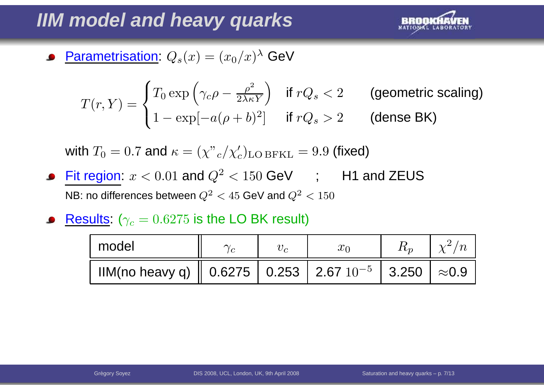## **IIM model and heavy quarks**



Parametrisation:  $Q_s(x)=(x_0/x)^\lambda$  GeV  $\bullet$ 

$$
T(r,Y) = \begin{cases} T_0 \exp\left(\gamma_c \rho - \frac{\rho^2}{2\lambda \kappa Y}\right) & \text{if } rQ_s < 2 \\ 1 - \exp[-a(\rho + b)^2] & \text{if } rQ_s > 2 \end{cases} \quad \text{(generic scaling)}
$$

with  $T_0 = 0.7$  and  $\kappa = (\chi"{}_c/\chi'_c)_{\rm LO\,BFKL} = 9.9$  (fixed)

- Fit region:  $x < 0.01$  and  $Q^2$ NB: no differences between  $Q^2$  $e^2 < 150$  GeV ; H1 and ZEUS  $^2$   $<$   $45$  GeV and  $Q^2$  $\frac{2}{5}$  < 150
- $\textsf{Results: } (\gamma_c = 0.6275 \text{ is the LO BK result})$

| model                                                                                                                       |  |  |  |
|-----------------------------------------------------------------------------------------------------------------------------|--|--|--|
| IIM(no heavy q) $\parallel$ 0.6275 $\parallel$ 0.253 $\parallel$ 2.67 $10^{-5}$ $\parallel$ 3.250 $\parallel$ $\approx$ 0.9 |  |  |  |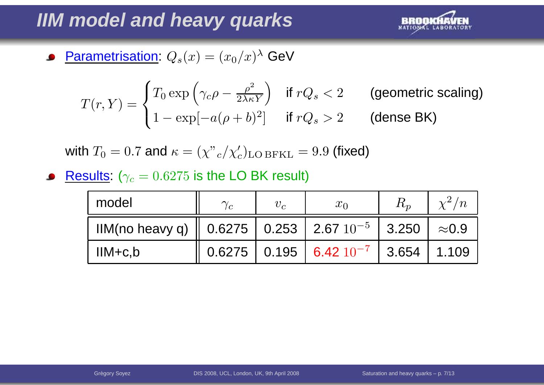## **IIM model and heavy quarks**



Parametrisation:  $Q_s(x)=(x_0/x)^\lambda$  GeV  $\bullet$ 

$$
T(r,Y) = \begin{cases} T_0 \exp\left(\gamma_c \rho - \frac{\rho^2}{2\lambda \kappa Y}\right) & \text{if } rQ_s < 2 \\ 1 - \exp[-a(\rho + b)^2] & \text{if } rQ_s > 2 \end{cases} \quad \text{(generic scaling)}
$$

with  $T_0 = 0.7$  and  $\kappa = (\chi"{}_c/\chi'_c)_{\rm LO\,BFKL} = 9.9$  (fixed)

 $\textsf{Results: } (\gamma_c = 0.6275 \text{ is the LO BK result})$  $\bullet$ 

| model                                                     | $\gamma_c$ | $v_c$ | $x_0$                                     | $\chi^2/n$    |
|-----------------------------------------------------------|------------|-------|-------------------------------------------|---------------|
| IIM(no heavy q)   0.6275   0.253   2.67 $10^{-5}$   3.250 |            |       |                                           | $\approx$ 0.9 |
| $IM+c,b$                                                  |            |       | $0.6275$   0.195   6.42 $10^{-7}$   3.654 | 1.109         |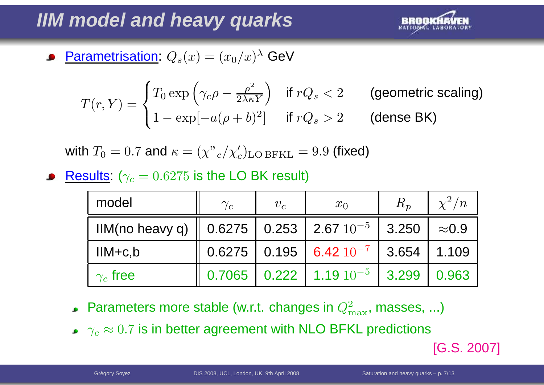## **IIM model and heavy quarks**



Parametrisation:  $Q_s(x)=(x_0/x)^\lambda$  GeV  $\bullet$ 

$$
T(r,Y) = \begin{cases} T_0 \exp\left(\gamma_c \rho - \frac{\rho^2}{2\lambda \kappa Y}\right) & \text{if } rQ_s < 2 \\ 1 - \exp[-a(\rho + b)^2] & \text{if } rQ_s > 2 \end{cases} \quad \text{(generic scaling)}
$$

with  $T_0 = 0.7$  and  $\kappa = (\chi"{}_c/\chi'_c)_{\rm LO\,BFKL} = 9.9$  (fixed)

 $\textsf{Results: } (\gamma_c = 0.6275 \text{ is the LO BK result})$ 

| model                                                      | $\gamma_c$ | $v_c$ | $x_0$                                     | $R_p$ | $\chi^2/n$       |
|------------------------------------------------------------|------------|-------|-------------------------------------------|-------|------------------|
| IIM(no heavy q)    0.6275   0.253   2.67 $10^{-5}$   3.250 |            |       |                                           |       | $\approx\!\!0.9$ |
| $IM+c,b$                                                   |            |       | $0.6275$   0.195   6.42 $10^{-7}$   3.654 |       | 1.109            |
| $\gamma_c$ free                                            |            |       | $0.7065$   0.222   1.19 $10^{-5}$         | 3.299 | 0.963            |

- Parameters more stable (w.r.t. changes in  $Q_{\rm n}^2$  $^2_{\rm max}$ , masses, ...)
- $\gamma_c\approx0.7$  is in better agreement with NLO BFKL predictions

[G.S. 2007]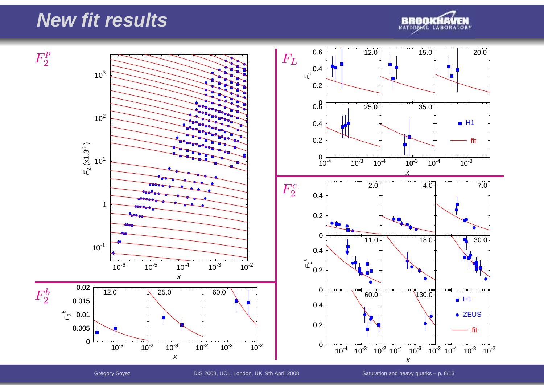#### **New fit results**





Gregory Soyez DIS 2008, UCL, London, UK, 9th April 2008 Saturat ´ ion and heavy quarks – p. 8/13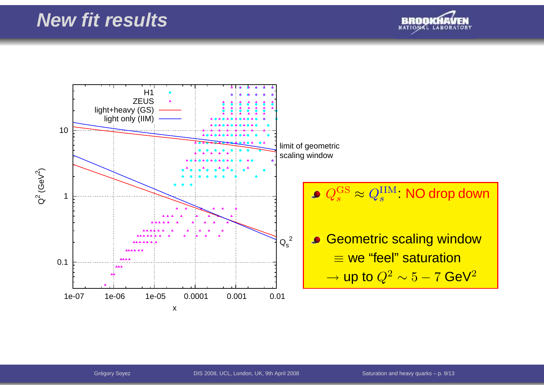

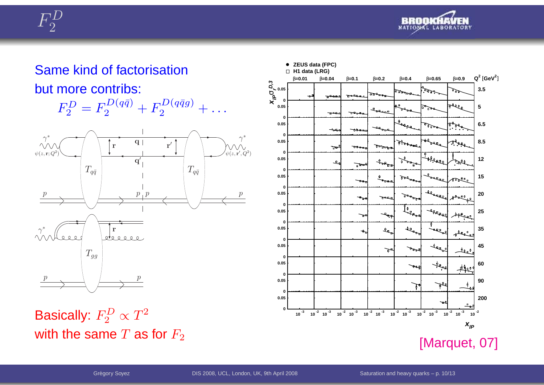



Same kind of factorisationbut more contribs:





Basically:  $F_2^D \propto T^2$ with the same  $T$  as for  $F_2$ 

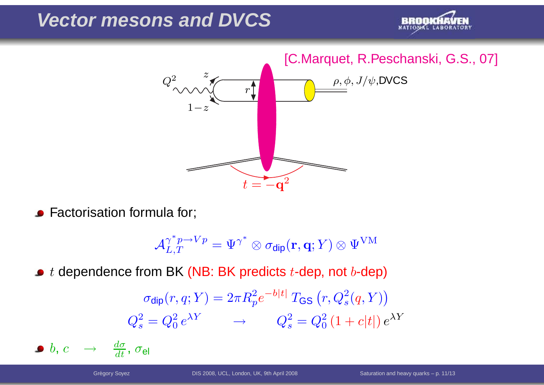#### **Vector mesons and DVCS**





Factorisation formula for;

 $\mathcal{A}^{\gamma}_{\tau}$ ∗ $\int_{L,T}^{\gamma^* p \rightarrow V p} = \Psi^{\gamma}$ ∗ $\mathbf{C}^*\otimes \sigma_{\mathsf{dip}}(\mathbf{r},\mathbf{q};Y)\otimes \Psi^{\text{VM}}$ 

 $t$  dependence from BK (NB: BK predicts  $t$ -dep, not  $b$ -dep)

$$
\sigma_{\text{dip}}(r, q; Y) = 2\pi R_p^2 e^{-b|t|} T_{\text{GS}}(r, Q_s^2(q, Y))
$$

$$
Q_s^2 = Q_0^2 e^{\lambda Y} \longrightarrow Q_s^2 = Q_0^2 (1 + c|t|) e^{\lambda Y}
$$

 $b,\,c\quad\rightarrow\quad$  $\rightarrow \frac{d\sigma}{dt}$ ,  $\sigma_\mathsf{el}$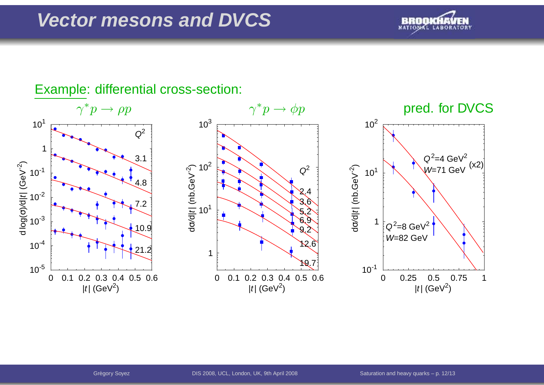#### **Vector mesons and DVCS**